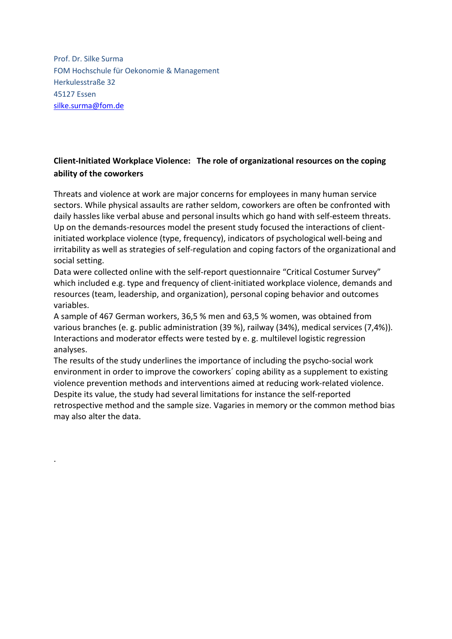Prof. Dr. Silke Surma FOM Hochschule für Oekonomie & Management Herkulesstraße 32 45127 Essen silke.surma@fom.de

.

## Client-Initiated Workplace Violence: The role of organizational resources on the coping ability of the coworkers

Threats and violence at work are major concerns for employees in many human service sectors. While physical assaults are rather seldom, coworkers are often be confronted with daily hassles like verbal abuse and personal insults which go hand with self-esteem threats. Up on the demands-resources model the present study focused the interactions of clientinitiated workplace violence (type, frequency), indicators of psychological well-being and irritability as well as strategies of self-regulation and coping factors of the organizational and social setting.

Data were collected online with the self-report questionnaire "Critical Costumer Survey" which included e.g. type and frequency of client-initiated workplace violence, demands and resources (team, leadership, and organization), personal coping behavior and outcomes variables.

A sample of 467 German workers, 36,5 % men and 63,5 % women, was obtained from various branches (e. g. public administration (39 %), railway (34%), medical services (7,4%)). Interactions and moderator effects were tested by e. g. multilevel logistic regression analyses.

The results of the study underlines the importance of including the psycho-social work environment in order to improve the coworkers´ coping ability as a supplement to existing violence prevention methods and interventions aimed at reducing work-related violence. Despite its value, the study had several limitations for instance the self-reported retrospective method and the sample size. Vagaries in memory or the common method bias may also alter the data.